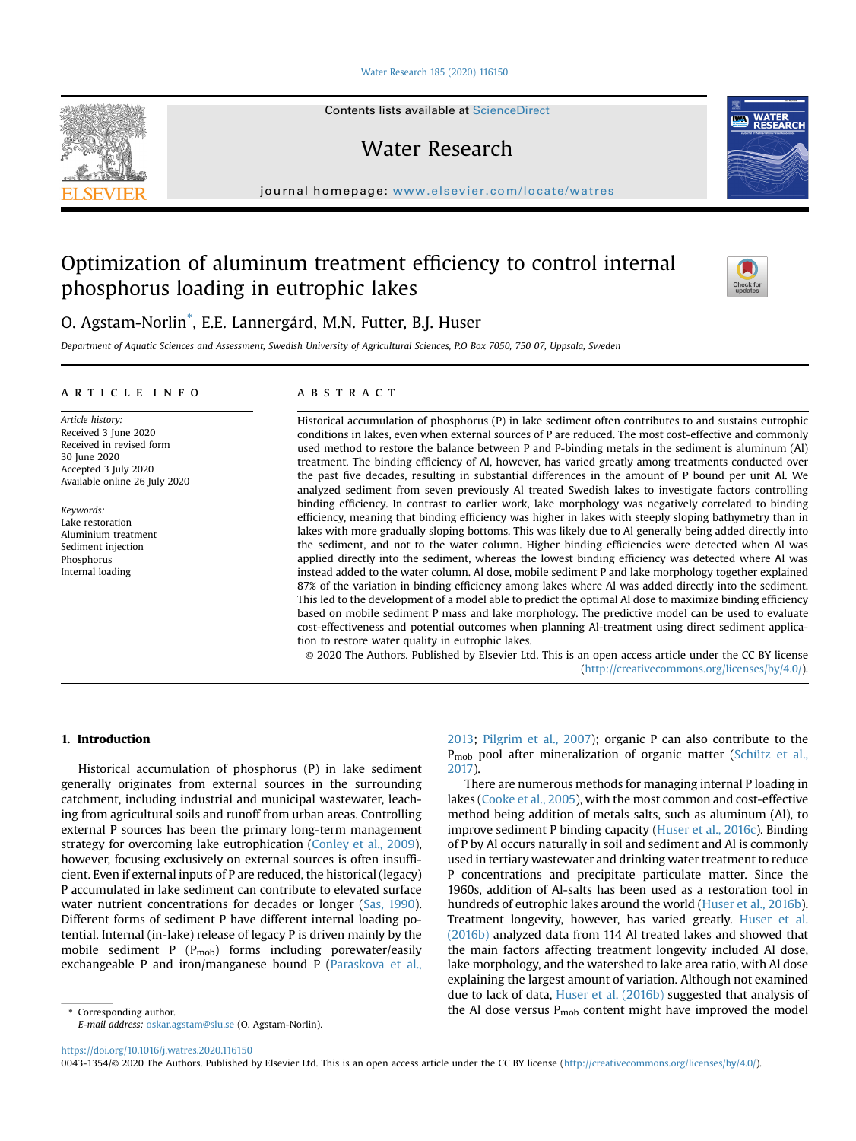[Water Research 185 \(2020\) 116150](https://doi.org/10.1016/j.watres.2020.116150)

Contents lists available at ScienceDirect

Water Research

journal homepage: <www.elsevier.com/locate/watres>

# Optimization of aluminum treatment efficiency to control internal phosphorus loading in eutrophic lakes



O. Agstam-Norlin[\\*](#page-0-0) , E.E. Lannergård, M.N. Futter, B.J. Huser

Department of Aquatic Sciences and Assessment, Swedish University of Agricultural Sciences, P.O Box 7050, 750 07, Uppsala, Sweden

#### article info

Article history: Received 3 June 2020 Received in revised form 30 June 2020 Accepted 3 July 2020 Available online 26 July 2020

Keywords: Lake restoration Aluminium treatment Sediment injection Phosphorus Internal loading

# **ABSTRACT**

Historical accumulation of phosphorus (P) in lake sediment often contributes to and sustains eutrophic conditions in lakes, even when external sources of P are reduced. The most cost-effective and commonly used method to restore the balance between P and P-binding metals in the sediment is aluminum (Al) treatment. The binding efficiency of Al, however, has varied greatly among treatments conducted over the past five decades, resulting in substantial differences in the amount of P bound per unit Al. We analyzed sediment from seven previously Al treated Swedish lakes to investigate factors controlling binding efficiency. In contrast to earlier work, lake morphology was negatively correlated to binding efficiency, meaning that binding efficiency was higher in lakes with steeply sloping bathymetry than in lakes with more gradually sloping bottoms. This was likely due to Al generally being added directly into the sediment, and not to the water column. Higher binding efficiencies were detected when Al was applied directly into the sediment, whereas the lowest binding efficiency was detected where Al was instead added to the water column. Al dose, mobile sediment P and lake morphology together explained 87% of the variation in binding efficiency among lakes where Al was added directly into the sediment. This led to the development of a model able to predict the optimal Al dose to maximize binding efficiency based on mobile sediment P mass and lake morphology. The predictive model can be used to evaluate cost-effectiveness and potential outcomes when planning Al-treatment using direct sediment application to restore water quality in eutrophic lakes.

© 2020 The Authors. Published by Elsevier Ltd. This is an open access article under the CC BY license [\(http://creativecommons.org/licenses/by/4.0/](http://creativecommons.org/licenses/by/4.0/)).

# 1. Introduction

Historical accumulation of phosphorus (P) in lake sediment generally originates from external sources in the surrounding catchment, including industrial and municipal wastewater, leaching from agricultural soils and runoff from urban areas. Controlling external P sources has been the primary long-term management strategy for overcoming lake eutrophication [\(Conley et al., 2009\)](#page-6-0), however, focusing exclusively on external sources is often insufficient. Even if external inputs of P are reduced, the historical (legacy) P accumulated in lake sediment can contribute to elevated surface water nutrient concentrations for decades or longer [\(Sas, 1990\)](#page-6-1). Different forms of sediment P have different internal loading potential. Internal (in-lake) release of legacy P is driven mainly by the mobile sediment P  $(P_{\text{mob}})$  forms including porewater/easily exchangeable P and iron/manganese bound P ([Paraskova et al.,](#page-6-2)

[2013;](#page-6-2) [Pilgrim et al., 2007](#page-6-3)); organic P can also contribute to the P<sub>mob</sub> pool after mineralization of organic matter [\(Schütz et al.,](#page-6-4) [2017](#page-6-4)).

There are numerous methods for managing internal P loading in lakes [\(Cooke et al., 2005\)](#page-6-5), with the most common and cost-effective method being addition of metals salts, such as aluminum (Al), to improve sediment P binding capacity [\(Huser et al., 2016c](#page-6-6)). Binding of P by Al occurs naturally in soil and sediment and Al is commonly used in tertiary wastewater and drinking water treatment to reduce P concentrations and precipitate particulate matter. Since the 1960s, addition of Al-salts has been used as a restoration tool in hundreds of eutrophic lakes around the world ([Huser et al., 2016b\)](#page-6-7). Treatment longevity, however, has varied greatly. [Huser et al.](#page-6-7) [\(2016b\)](#page-6-7) analyzed data from 114 Al treated lakes and showed that the main factors affecting treatment longevity included Al dose, lake morphology, and the watershed to lake area ratio, with Al dose explaining the largest amount of variation. Although not examined due to lack of data, [Huser et al. \(2016b\)](#page-6-7) suggested that analysis of  $\epsilon$  Corresponding author.  $\epsilon$  corresponding author. the Al dose versus P<sub>mob</sub> content might have improved the model

<span id="page-0-0"></span>E-mail address: [oskar.agstam@slu.se](mailto:oskar.agstam@slu.se) (O. Agstam-Norlin).

<https://doi.org/10.1016/j.watres.2020.116150>

0043-1354/© 2020 The Authors. Published by Elsevier Ltd. This is an open access article under the CC BY license [\(http://creativecommons.org/licenses/by/4.0/](http://creativecommons.org/licenses/by/4.0/)).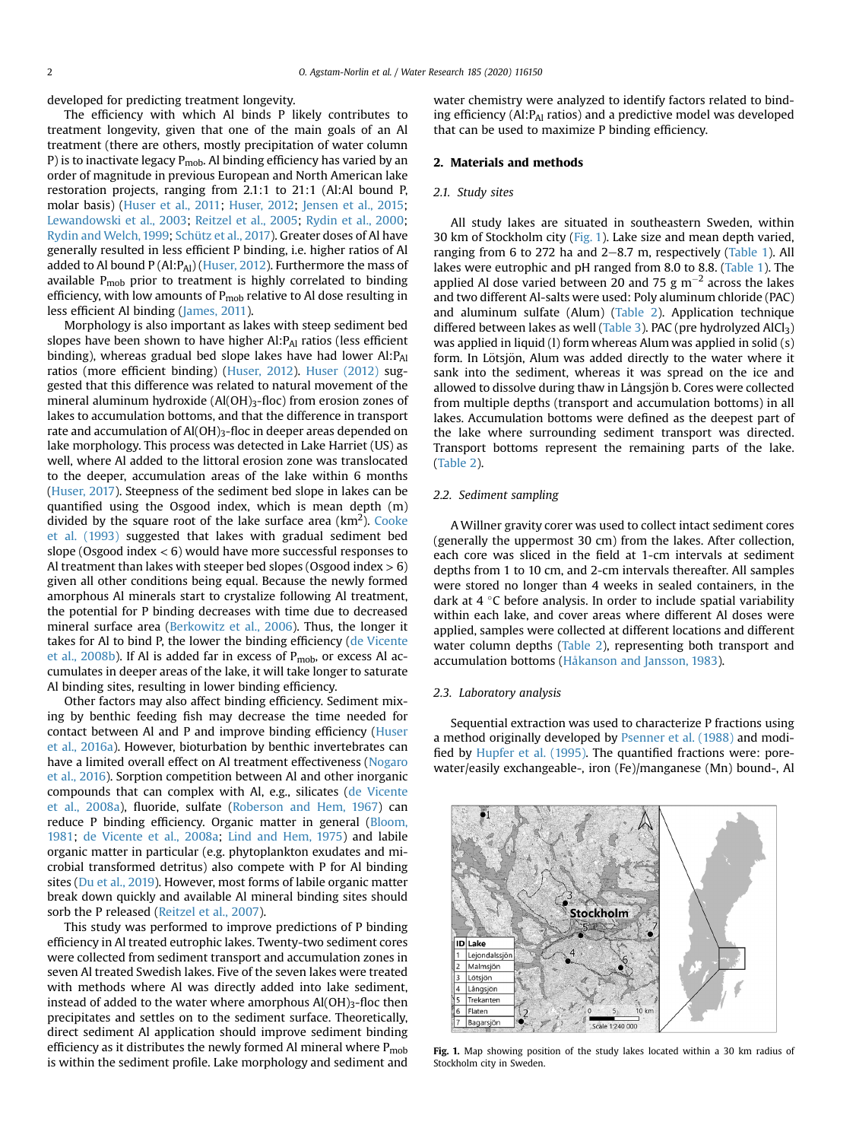developed for predicting treatment longevity.

The efficiency with which Al binds P likely contributes to treatment longevity, given that one of the main goals of an Al treatment (there are others, mostly precipitation of water column P) is to inactivate legacy  $P_{\text{mob}}$ . Al binding efficiency has varied by an order of magnitude in previous European and North American lake restoration projects, ranging from 2.1:1 to 21:1 (Al:Al bound P, molar basis) [\(Huser et al., 2011](#page-6-8); [Huser, 2012;](#page-6-9) [Jensen et al., 2015](#page-6-10); [Lewandowski et al., 2003](#page-6-11); [Reitzel et al., 2005](#page-6-12); [Rydin et al., 2000](#page-6-13); [Rydin and Welch, 1999;](#page-6-14) [Schütz et al., 2017](#page-6-4)). Greater doses of Al have generally resulted in less efficient P binding, i.e. higher ratios of Al added to Al bound P (Al: P<sub>Al</sub>) [\(Huser, 2012](#page-6-9)). Furthermore the mass of available  $P_{\text{mob}}$  prior to treatment is highly correlated to binding efficiency, with low amounts of  $P_{\text{mob}}$  relative to Al dose resulting in less efficient Al binding [\(James, 2011\)](#page-6-15).

Morphology is also important as lakes with steep sediment bed slopes have been shown to have higher  $AI:PA<sub>I</sub>$  ratios (less efficient binding), whereas gradual bed slope lakes have had lower  $AI:PA1$ ratios (more efficient binding) [\(Huser, 2012](#page-6-9)). [Huser \(2012\)](#page-6-9) suggested that this difference was related to natural movement of the mineral aluminum hydroxide (Al(OH)<sub>3</sub>-floc) from erosion zones of lakes to accumulation bottoms, and that the difference in transport rate and accumulation of  $AI(OH)_{3}$ -floc in deeper areas depended on lake morphology. This process was detected in Lake Harriet (US) as well, where Al added to the littoral erosion zone was translocated to the deeper, accumulation areas of the lake within 6 months ([Huser, 2017\)](#page-6-16). Steepness of the sediment bed slope in lakes can be quantified using the Osgood index, which is mean depth (m) divided by the square root of the lake surface area ( $\text{km}^2$ ). [Cooke](#page-6-17) [et al. \(1993\)](#page-6-17) suggested that lakes with gradual sediment bed slope (Osgood index < 6) would have more successful responses to Al treatment than lakes with steeper bed slopes (Osgood index  $> 6$ ) given all other conditions being equal. Because the newly formed amorphous Al minerals start to crystalize following Al treatment, the potential for P binding decreases with time due to decreased mineral surface area [\(Berkowitz et al., 2006\)](#page-6-18). Thus, the longer it takes for Al to bind P, the lower the binding efficiency ([de Vicente](#page-6-19) [et al., 2008b](#page-6-19)). If Al is added far in excess of  $P_{\text{mob}}$ , or excess Al accumulates in deeper areas of the lake, it will take longer to saturate Al binding sites, resulting in lower binding efficiency.

Other factors may also affect binding efficiency. Sediment mixing by benthic feeding fish may decrease the time needed for contact between Al and P and improve binding efficiency ([Huser](#page-6-20) [et al., 2016a\)](#page-6-20). However, bioturbation by benthic invertebrates can have a limited overall effect on Al treatment effectiveness ([Nogaro](#page-6-21) [et al., 2016\)](#page-6-21). Sorption competition between Al and other inorganic compounds that can complex with Al, e.g., silicates ([de Vicente](#page-6-22) [et al., 2008a](#page-6-22)), fluoride, sulfate ([Roberson and Hem, 1967](#page-6-23)) can reduce P binding efficiency. Organic matter in general ([Bloom,](#page-6-24) [1981](#page-6-24); [de Vicente et al., 2008a](#page-6-22); [Lind and Hem, 1975\)](#page-6-25) and labile organic matter in particular (e.g. phytoplankton exudates and microbial transformed detritus) also compete with P for Al binding sites ([Du et al., 2019](#page-6-26)). However, most forms of labile organic matter break down quickly and available Al mineral binding sites should sorb the P released ([Reitzel et al., 2007](#page-6-27)).

This study was performed to improve predictions of P binding efficiency in Al treated eutrophic lakes. Twenty-two sediment cores were collected from sediment transport and accumulation zones in seven Al treated Swedish lakes. Five of the seven lakes were treated with methods where Al was directly added into lake sediment, instead of added to the water where amorphous  $AI(OH)_{3}$ -floc then precipitates and settles on to the sediment surface. Theoretically, direct sediment Al application should improve sediment binding efficiency as it distributes the newly formed Al mineral where  $P_{\text{mob}}$ is within the sediment profile. Lake morphology and sediment and water chemistry were analyzed to identify factors related to binding efficiency (Al:PAl ratios) and a predictive model was developed that can be used to maximize P binding efficiency.

## 2. Materials and methods

## 2.1. Study sites

All study lakes are situated in southeastern Sweden, within 30 km of Stockholm city ([Fig. 1](#page-1-0)). Lake size and mean depth varied, ranging from 6 to 272 ha and  $2-8.7$  m, respectively [\(Table 1\)](#page-2-0). All lakes were eutrophic and pH ranged from 8.0 to 8.8. ([Table 1\)](#page-2-0). The applied Al dose varied between 20 and 75  $\rm g$  m<sup>-2</sup> across the lakes and two different Al-salts were used: Poly aluminum chloride (PAC) and aluminum sulfate (Alum) [\(Table 2\)](#page-2-1). Application technique differed between lakes as well ([Table 3](#page-2-2)). PAC (pre hydrolyzed AlCl<sub>3</sub>) was applied in liquid (l) form whereas Alum was applied in solid (s) form. In Lötsjön, Alum was added directly to the water where it sank into the sediment, whereas it was spread on the ice and allowed to dissolve during thaw in Långsjön b. Cores were collected from multiple depths (transport and accumulation bottoms) in all lakes. Accumulation bottoms were defined as the deepest part of the lake where surrounding sediment transport was directed. Transport bottoms represent the remaining parts of the lake. ([Table 2\)](#page-2-1).

## 2.2. Sediment sampling

A Willner gravity corer was used to collect intact sediment cores (generally the uppermost 30 cm) from the lakes. After collection, each core was sliced in the field at 1-cm intervals at sediment depths from 1 to 10 cm, and 2-cm intervals thereafter. All samples were stored no longer than 4 weeks in sealed containers, in the dark at  $4 \degree C$  before analysis. In order to include spatial variability within each lake, and cover areas where different Al doses were applied, samples were collected at different locations and different water column depths [\(Table 2](#page-2-1)), representing both transport and accumulation bottoms [\(Håkanson and Jansson, 1983\)](#page-6-28).

#### 2.3. Laboratory analysis

Sequential extraction was used to characterize P fractions using a method originally developed by [Psenner et al. \(1988\)](#page-6-29) and modified by [Hupfer et al. \(1995\).](#page-6-30) The quantified fractions were: porewater/easily exchangeable-, iron (Fe)/manganese (Mn) bound-, Al

<span id="page-1-0"></span>

Fig. 1. Map showing position of the study lakes located within a 30 km radius of Stockholm city in Sweden.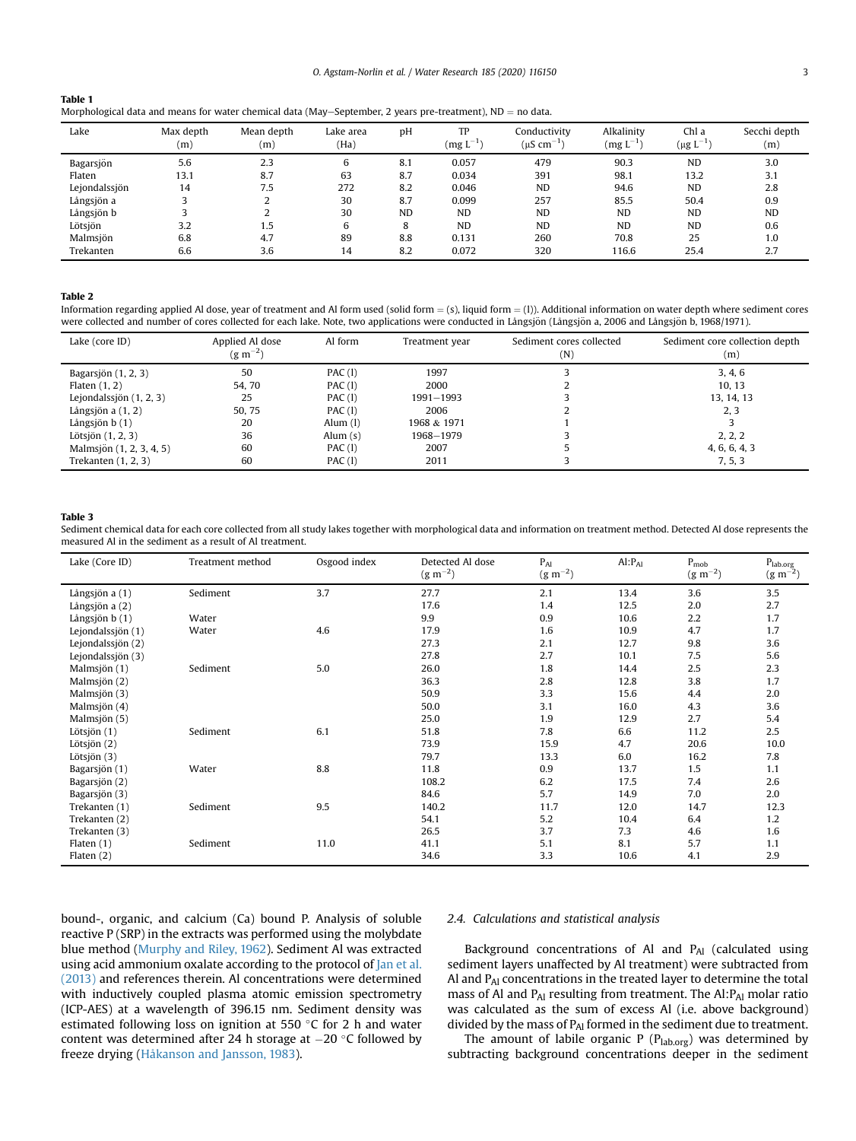<span id="page-2-0"></span>

| Table 1                                                                                                      |  |
|--------------------------------------------------------------------------------------------------------------|--|
| Morphological data and means for water chemical data (May-September, 2 years pre-treatment), $ND =$ no data. |  |

| Lake          | Max depth<br>(m) | Mean depth<br>(m) | Lake area<br>(Ha) | pH        | TP<br>$(mg L^{-1})$ | Conductivity<br>(µS cm <sup>-1</sup> | Alkalinity<br>$\left(\text{mg L}^{-1}\right)$ | Chl a<br>$(\mu g L^{-1})$ | Secchi depth<br>(m) |
|---------------|------------------|-------------------|-------------------|-----------|---------------------|--------------------------------------|-----------------------------------------------|---------------------------|---------------------|
| Bagarsjön     | 5.6              | 2.3               | 6                 | 8.1       | 0.057               | 479                                  | 90.3                                          | <b>ND</b>                 | 3.0                 |
| Flaten        | 13.1             | 8.7               | 63                | 8.7       | 0.034               | 391                                  | 98.1                                          | 13.2                      | 3.1                 |
| Lejondalssjön | 14               | 7.5               | 272               | 8.2       | 0.046               | <b>ND</b>                            | 94.6                                          | <b>ND</b>                 | 2.8                 |
| Långsjön a    |                  |                   | 30                | 8.7       | 0.099               | 257                                  | 85.5                                          | 50.4                      | 0.9                 |
| Långsjön b    |                  |                   | 30                | <b>ND</b> | <b>ND</b>           | <b>ND</b>                            | <b>ND</b>                                     | <b>ND</b>                 | <b>ND</b>           |
| Lötsjön       | 3.2              | 1.5               | 6                 | 8         | <b>ND</b>           | <b>ND</b>                            | <b>ND</b>                                     | <b>ND</b>                 | 0.6                 |
| Malmsjön      | 6.8              | 4.7               | 89                | 8.8       | 0.131               | 260                                  | 70.8                                          | 25                        | 1.0                 |
| Trekanten     | 6.6              | 3.6               | 14                | 8.2       | 0.072               | 320                                  | 116.6                                         | 25.4                      | 2.7                 |

#### <span id="page-2-1"></span>Table 2

Information regarding applied Al dose, year of treatment and Al form used (solid form  $=$  (s), liquid form  $=$  (1)). Additional information on water depth where sediment cores were collected and number of cores collected for each lake. Note, two applications were conducted in Långsjön (Långsjön a, 2006 and Långsjön b, 1968/1971).

| Lake (core ID)            | Applied Al dose<br>$(g m^{-2})$ | Al form    | Treatment year | Sediment cores collected<br>(N) | Sediment core collection depth<br>(m) |
|---------------------------|---------------------------------|------------|----------------|---------------------------------|---------------------------------------|
| Bagarsjön $(1, 2, 3)$     | 50                              | PAC(1)     | 1997           |                                 | 3, 4, 6                               |
| Flaten $(1, 2)$           | 54.70                           | PAC(1)     | 2000           |                                 | 10, 13                                |
| Lejondalssjön $(1, 2, 3)$ | 25                              | PAC(1)     | 1991-1993      |                                 | 13, 14, 13                            |
| Långsjön a $(1, 2)$       | 50.75                           | PAC(1)     | 2006           |                                 | 2, 3                                  |
| Långsjön $b(1)$           | 20                              | Alum $(l)$ | 1968 & 1971    |                                 |                                       |
| Lötsjön $(1, 2, 3)$       | 36                              | Alum $(s)$ | 1968-1979      |                                 | 2, 2, 2                               |
| Malmsjön (1, 2, 3, 4, 5)  | 60                              | PAC(1)     | 2007           |                                 | 4, 6, 6, 4, 3                         |
| Trekanten (1, 2, 3)       | 60                              | PAC(1)     | 2011           |                                 | 7, 5, 3                               |

#### <span id="page-2-2"></span>Table 3

Sediment chemical data for each core collected from all study lakes together with morphological data and information on treatment method. Detected Al dose represents the measured Al in the sediment as a result of Al treatment.

| Lake (Core ID)    | Treatment method | Osgood index | Detected Al dose<br>$(g m^{-2})$ | $P_{Al}$<br>$(g m^{-2})$ | $Al: P_{Al}$ | $P_{\text{mob}}$<br>$(g m^{-2})$ | $P_{lab.org}$<br>$(g m^{-2})$ |
|-------------------|------------------|--------------|----------------------------------|--------------------------|--------------|----------------------------------|-------------------------------|
| Långsjön a (1)    | Sediment         | 3.7          | 27.7                             | 2.1                      | 13.4         | 3.6                              | 3.5                           |
| Långsjön a (2)    |                  |              | 17.6                             | 1.4                      | 12.5         | 2.0                              | 2.7                           |
| Långsjön b (1)    | Water            |              | 9.9                              | 0.9                      | 10.6         | 2.2                              | 1.7                           |
| Lejondalssjön (1) | Water            | 4.6          | 17.9                             | 1.6                      | 10.9         | 4.7                              | 1.7                           |
| Lejondalssjön (2) |                  |              | 27.3                             | 2.1                      | 12.7         | 9.8                              | 3.6                           |
| Lejondalssjön (3) |                  |              | 27.8                             | 2.7                      | 10.1         | 7.5                              | 5.6                           |
| Malmsjön (1)      | Sediment         | 5.0          | 26.0                             | 1.8                      | 14.4         | 2.5                              | 2.3                           |
| Malmsjön (2)      |                  |              | 36.3                             | 2.8                      | 12.8         | 3.8                              | 1.7                           |
| Malmsjön (3)      |                  |              | 50.9                             | 3.3                      | 15.6         | 4.4                              | 2.0                           |
| Malmsjön (4)      |                  |              | 50.0                             | 3.1                      | 16.0         | 4.3                              | 3.6                           |
| Malmsjön (5)      |                  |              | 25.0                             | 1.9                      | 12.9         | 2.7                              | 5.4                           |
| Lötsjön (1)       | Sediment         | 6.1          | 51.8                             | 7.8                      | 6.6          | 11.2                             | 2.5                           |
| Lötsjön (2)       |                  |              | 73.9                             | 15.9                     | 4.7          | 20.6                             | 10.0                          |
| Lötsjön (3)       |                  |              | 79.7                             | 13.3                     | 6.0          | 16.2                             | 7.8                           |
| Bagarsjön (1)     | Water            | 8.8          | 11.8                             | 0.9                      | 13.7         | 1.5                              | 1.1                           |
| Bagarsjön (2)     |                  |              | 108.2                            | 6.2                      | 17.5         | 7.4                              | 2.6                           |
| Bagarsjön (3)     |                  |              | 84.6                             | 5.7                      | 14.9         | 7.0                              | 2.0                           |
| Trekanten (1)     | Sediment         | 9.5          | 140.2                            | 11.7                     | 12.0         | 14.7                             | 12.3                          |
| Trekanten (2)     |                  |              | 54.1                             | 5.2                      | 10.4         | 6.4                              | 1.2                           |
| Trekanten (3)     |                  |              | 26.5                             | 3.7                      | 7.3          | 4.6                              | 1.6                           |
| Flaten $(1)$      | Sediment         | 11.0         | 41.1                             | 5.1                      | 8.1          | 5.7                              | 1.1                           |
| Flaten $(2)$      |                  |              | 34.6                             | 3.3                      | 10.6         | 4.1                              | 2.9                           |

bound-, organic, and calcium (Ca) bound P. Analysis of soluble reactive P (SRP) in the extracts was performed using the molybdate blue method [\(Murphy and Riley, 1962](#page-6-31)). Sediment Al was extracted using acid ammonium oxalate according to the protocol of [Jan et al.](#page-6-32) [\(2013\)](#page-6-32) and references therein. Al concentrations were determined with inductively coupled plasma atomic emission spectrometry (ICP-AES) at a wavelength of 396.15 nm. Sediment density was estimated following loss on ignition at 550  $\degree$ C for 2 h and water content was determined after 24 h storage at  $-20$  °C followed by freeze drying [\(Håkanson and Jansson, 1983\)](#page-6-28).

# 2.4. Calculations and statistical analysis

Background concentrations of Al and PAl (calculated using sediment layers unaffected by Al treatment) were subtracted from Al and PAl concentrations in the treated layer to determine the total mass of Al and PAI resulting from treatment. The Al:PAI molar ratio was calculated as the sum of excess Al (i.e. above background) divided by the mass of  $P_{Al}$  formed in the sediment due to treatment.

The amount of labile organic P ( $P_{lab.org}$ ) was determined by subtracting background concentrations deeper in the sediment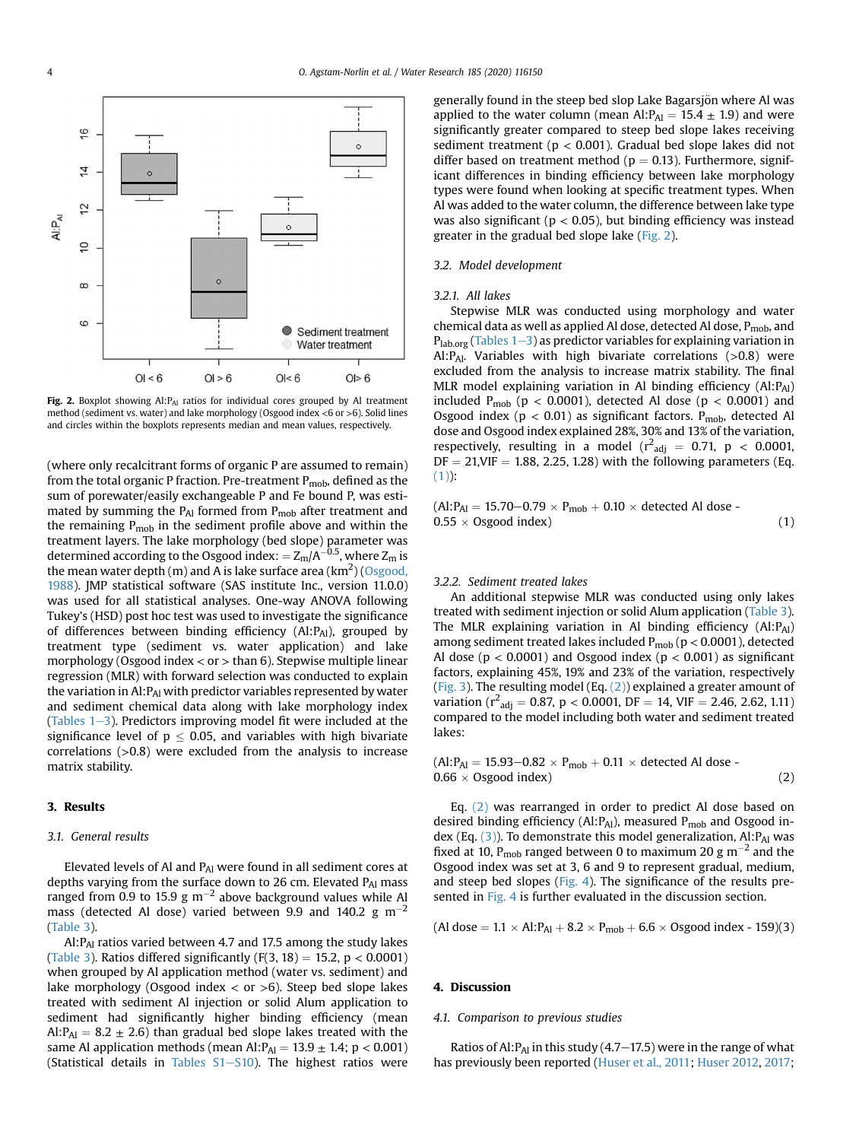<span id="page-3-0"></span>

Fig. 2. Boxplot showing  $AI:PA<sub>A</sub>$  ratios for individual cores grouped by Al treatment method (sediment vs. water) and lake morphology (Osgood index <6 or >6). Solid lines and circles within the boxplots represents median and mean values, respectively.

(where only recalcitrant forms of organic P are assumed to remain) from the total organic P fraction. Pre-treatment  $P_{\text{mob}}$ , defined as the sum of porewater/easily exchangeable P and Fe bound P, was estimated by summing the  $P_{Al}$  formed from  $P_{mob}$  after treatment and the remaining  $P_{\text{mob}}$  in the sediment profile above and within the treatment layers. The lake morphology (bed slope) parameter was determined according to the Osgood index: =  $Z_m/A^{-0.5}$ , where  $Z_m$  is the mean water depth (m) and A is lake surface area (km $^2$ ) ([Osgood,](#page-6-33) [1988](#page-6-33)). JMP statistical software (SAS institute Inc., version 11.0.0) was used for all statistical analyses. One-way ANOVA following Tukey's (HSD) post hoc test was used to investigate the significance of differences between binding efficiency (Al:PAl), grouped by treatment type (sediment vs. water application) and lake morphology (Osgood index  $<$  or  $>$  than 6). Stepwise multiple linear regression (MLR) with forward selection was conducted to explain the variation in  $AI: P_{AI}$  with predictor variables represented by water and sediment chemical data along with lake morphology index (Tables  $1-3$  $1-3$ ). Predictors improving model fit were included at the significance level of  $p \le 0.05$ , and variables with high bivariate correlations (>0.8) were excluded from the analysis to increase matrix stability.

# 3. Results

# 3.1. General results

Elevated levels of Al and PAl were found in all sediment cores at depths varying from the surface down to 26 cm. Elevated PAI mass ranged from 0.9 to 15.9 g m<sup>-2</sup> above background values while Al mass (detected Al dose) varied between 9.9 and 140.2  $\text{g m}^{-2}$ ([Table 3\)](#page-2-2).

Al: P<sub>Al</sub> ratios varied between 4.7 and 17.5 among the study lakes ([Table 3](#page-2-2)). Ratios differed significantly  $(F(3, 18) = 15.2, p < 0.0001)$ when grouped by Al application method (water vs. sediment) and lake morphology (Osgood index  $\langle$  or  $>6$ ). Steep bed slope lakes treated with sediment Al injection or solid Alum application to sediment had significantly higher binding efficiency (mean Al: $P_{\text{Al}} = 8.2 \pm 2.6$ ) than gradual bed slope lakes treated with the same Al application methods (mean  $\text{Al}:\text{P}_{\text{Al}} = 13.9 \pm 1.4$ ; p < 0.001) (Statistical details in Tables  $S1 - S10$ ). The highest ratios were

generally found in the steep bed slop Lake Bagarsjön where Al was applied to the water column (mean Al: $P_{\text{Al}} = 15.4 \pm 1.9$ ) and were significantly greater compared to steep bed slope lakes receiving sediment treatment ( $p < 0.001$ ). Gradual bed slope lakes did not differ based on treatment method ( $p = 0.13$ ). Furthermore, significant differences in binding efficiency between lake morphology types were found when looking at specific treatment types. When Al was added to the water column, the difference between lake type was also significant ( $p < 0.05$ ), but binding efficiency was instead greater in the gradual bed slope lake ([Fig. 2\)](#page-3-0).

## 3.2. Model development

#### 3.2.1. All lakes

Stepwise MLR was conducted using morphology and water chemical data as well as applied Al dose, detected Al dose,  $P_{\text{mob}}$ , and  $P_{lab,org}$  ([Tables 1](#page-2-0)–[3\)](#page-2-0) as predictor variables for explaining variation in Al: P<sub>Al</sub>. Variables with high bivariate correlations (>0.8) were excluded from the analysis to increase matrix stability. The final MLR model explaining variation in Al binding efficiency (Al:PAI) included  $P_{\text{mob}}$  ( $p < 0.0001$ ), detected Al dose ( $p < 0.0001$ ) and Osgood index ( $p < 0.01$ ) as significant factors.  $P_{\text{mob}}$ , detected Al dose and Osgood index explained 28%, 30% and 13% of the variation, respectively, resulting in a model  $(r^2_{adj} = 0.71, p < 0.0001,$  $DF = 21, VIF = 1.88, 2.25, 1.28$ ) with the following parameters (Eq.  $(1)$ :

<span id="page-3-1"></span>
$$
(AI: PAI = 15.70-0.79 \times Pmob + 0.10 \times detected Al dose - 0.55 \times Osgood index)
$$
 (1)

# 3.2.2. Sediment treated lakes

An additional stepwise MLR was conducted using only lakes treated with sediment injection or solid Alum application [\(Table 3\)](#page-2-2). The MLR explaining variation in Al binding efficiency (Al:PAl) among sediment treated lakes included  $P_{\text{mob}}$  ( $p < 0.0001$ ), detected Al dose ( $p < 0.0001$ ) and Osgood index ( $p < 0.001$ ) as significant factors, explaining 45%, 19% and 23% of the variation, respectively ([Fig. 3](#page-4-0)). The resulting model (Eq.  $(2)$ ) explained a greater amount of variation ( $r^2$ <sub>adj</sub> = 0.87, p < 0.0001, DF = 14, VIF = 2.46, 2.62, 1.11) compared to the model including both water and sediment treated lakes:

<span id="page-3-2"></span>
$$
(Al:PAl = 15.93-0.82 \times Pmob + 0.11 \times detected Al dose - 0.66 \times Osgood index)
$$
 (2)

Eq. [\(2\)](#page-3-2) was rearranged in order to predict Al dose based on desired binding efficiency (Al: $P_{Al}$ ), measured  $P_{mob}$  and Osgood index (Eq.  $(3)$ ). To demonstrate this model generalization, Al: P<sub>Al</sub> was fixed at 10, P<sub>mob</sub> ranged between 0 to maximum 20 g m<sup>-2</sup> and the Osgood index was set at 3, 6 and 9 to represent gradual, medium, and steep bed slopes [\(Fig. 4](#page-5-0)). The significance of the results pre-sented in [Fig. 4](#page-5-0) is further evaluated in the discussion section.

<span id="page-3-3"></span> $(Al dose = 1.1 \times Al:P_{Al} + 8.2 \times P_{mob} + 6.6 \times Osgood index - 159)(3)$ 

## 4. Discussion

## 4.1. Comparison to previous studies

Ratios of Al:  $P_{\text{Al}}$  in this study (4.7–17.5) were in the range of what has previously been reported [\(Huser et al., 2011](#page-6-8); [Huser 2012](#page-6-9), [2017](#page-6-16);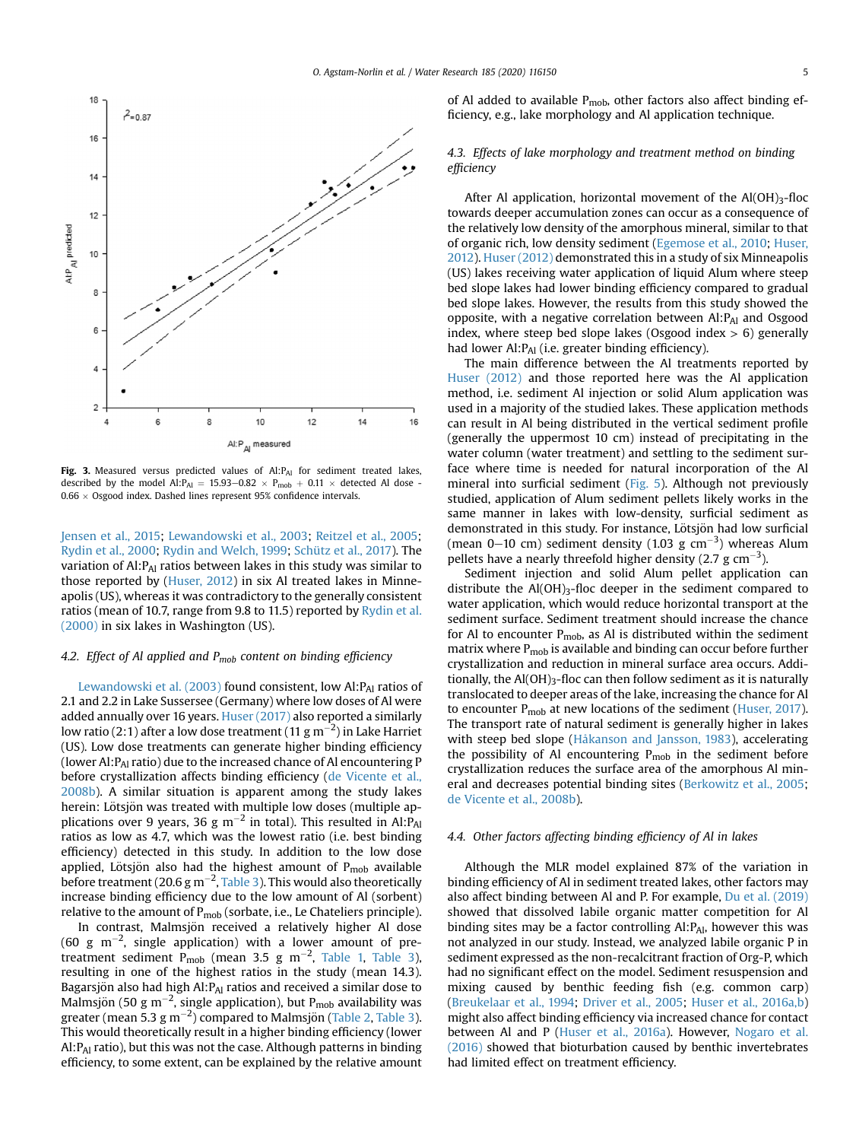<span id="page-4-0"></span>

Fig. 3. Measured versus predicted values of Al:PAI for sediment treated lakes, described by the model Al:  $P_{Al}$  = 15.93–0.82  $\times$   $P_{\text{mob}}$  + 0.11  $\times$  detected Al dose - $0.66 \times$  Osgood index. Dashed lines represent 95% confidence intervals.

[Jensen et al., 2015;](#page-6-10) [Lewandowski et al., 2003](#page-6-11); [Reitzel et al., 2005;](#page-6-12) [Rydin et al., 2000](#page-6-13); [Rydin and Welch, 1999;](#page-6-14) [Schütz et al., 2017\)](#page-6-4). The variation of  $AI:PA<sub>I</sub>$  ratios between lakes in this study was similar to those reported by [\(Huser, 2012](#page-6-9)) in six Al treated lakes in Minneapolis (US), whereas it was contradictory to the generally consistent ratios (mean of 10.7, range from 9.8 to 11.5) reported by [Rydin et al.](#page-6-13) [\(2000\)](#page-6-13) in six lakes in Washington (US).

# 4.2. Effect of Al applied and  $P_{mob}$  content on binding efficiency

[Lewandowski et al. \(2003\)](#page-6-11) found consistent, low Al:PAI ratios of 2.1 and 2.2 in Lake Sussersee (Germany) where low doses of Al were added annually over 16 years. [Huser \(2017\)](#page-6-16) also reported a similarly low ratio (2:1) after a low dose treatment (11 g m $^{-2}$ ) in Lake Harriet (US). Low dose treatments can generate higher binding efficiency (lower Al: P<sub>Al</sub> ratio) due to the increased chance of Al encountering P before crystallization affects binding efficiency [\(de Vicente et al.,](#page-6-19) [2008b\)](#page-6-19). A similar situation is apparent among the study lakes herein: Lötsjön was treated with multiple low doses (multiple applications over 9 years, 36 g  $\text{m}^{-2}$  in total). This resulted in Al:P<sub>Al</sub> ratios as low as 4.7, which was the lowest ratio (i.e. best binding efficiency) detected in this study. In addition to the low dose applied, Lötsjön also had the highest amount of  $P_{\text{mob}}$  available before treatment (20.6 g m $^{-2}$ , [Table 3](#page-2-2)). This would also theoretically increase binding efficiency due to the low amount of Al (sorbent) relative to the amount of  $P_{\text{mob}}$  (sorbate, i.e., Le Chateliers principle).

In contrast, Malmsjön received a relatively higher Al dose (60 g m<sup>-2</sup>, single application) with a lower amount of pre-treatment sediment P<sub>mob</sub> (mean 3.5 g m<sup>-2</sup>, [Table 1,](#page-2-0) [Table 3\)](#page-2-2), resulting in one of the highest ratios in the study (mean 14.3). Bagarsjön also had high Al: PAI ratios and received a similar dose to Malmsjön (50 g m $^{-2}$ , single application), but P<sub>mob</sub> availability was greater (mean 5.3 g m $^{-2}$ ) compared to Malmsjön ([Table 2,](#page-2-1) [Table 3\)](#page-2-2). This would theoretically result in a higher binding efficiency (lower Al: $P_{\text{Al}}$  ratio), but this was not the case. Although patterns in binding efficiency, to some extent, can be explained by the relative amount of Al added to available P<sub>mob</sub>, other factors also affect binding efficiency, e.g., lake morphology and Al application technique.

# 4.3. Effects of lake morphology and treatment method on binding efficiency

After Al application, horizontal movement of the  $Al(OH)_{3}$ -floc towards deeper accumulation zones can occur as a consequence of the relatively low density of the amorphous mineral, similar to that of organic rich, low density sediment [\(Egemose et al., 2010;](#page-6-34) [Huser,](#page-6-9) [2012\)](#page-6-9). [Huser \(2012\)](#page-6-9) demonstrated this in a study of six Minneapolis (US) lakes receiving water application of liquid Alum where steep bed slope lakes had lower binding efficiency compared to gradual bed slope lakes. However, the results from this study showed the opposite, with a negative correlation between  $AI:PA<sub>1</sub>$  and Osgood index, where steep bed slope lakes (Osgood index  $> 6$ ) generally had lower  $AI: P_{AI}$  (i.e. greater binding efficiency).

The main difference between the Al treatments reported by [Huser \(2012\)](#page-6-9) and those reported here was the Al application method, i.e. sediment Al injection or solid Alum application was used in a majority of the studied lakes. These application methods can result in Al being distributed in the vertical sediment profile (generally the uppermost 10 cm) instead of precipitating in the water column (water treatment) and settling to the sediment surface where time is needed for natural incorporation of the Al mineral into surficial sediment [\(Fig. 5\)](#page-5-1). Although not previously studied, application of Alum sediment pellets likely works in the same manner in lakes with low-density, surficial sediment as demonstrated in this study. For instance, Lötsjön had low surficial (mean 0–10 cm) sediment density (1.03 g cm<sup>-3</sup>) whereas Alum pellets have a nearly threefold higher density (2.7 g  $cm^{-3}$ ).

Sediment injection and solid Alum pellet application can distribute the  $Al(OH)_{3}$ -floc deeper in the sediment compared to water application, which would reduce horizontal transport at the sediment surface. Sediment treatment should increase the chance for Al to encounter  $P_{\text{mob}}$ , as Al is distributed within the sediment matrix where  $P_{\text{mob}}$  is available and binding can occur before further crystallization and reduction in mineral surface area occurs. Additionally, the Al(OH)<sub>3</sub>-floc can then follow sediment as it is naturally translocated to deeper areas of the lake, increasing the chance for Al to encounter P<sub>mob</sub> at new locations of the sediment [\(Huser, 2017\)](#page-6-16). The transport rate of natural sediment is generally higher in lakes with steep bed slope [\(Håkanson and Jansson, 1983\)](#page-6-28), accelerating the possibility of Al encountering  $P_{\text{mob}}$  in the sediment before crystallization reduces the surface area of the amorphous Al mineral and decreases potential binding sites [\(Berkowitz et al., 2005;](#page-6-35) [de Vicente et al., 2008b\)](#page-6-19).

# 4.4. Other factors affecting binding efficiency of Al in lakes

Although the MLR model explained 87% of the variation in binding efficiency of Al in sediment treated lakes, other factors may also affect binding between Al and P. For example, [Du et al. \(2019\)](#page-6-26) showed that dissolved labile organic matter competition for Al binding sites may be a factor controlling  $AI:PA<sub>1</sub>$ , however this was not analyzed in our study. Instead, we analyzed labile organic P in sediment expressed as the non-recalcitrant fraction of Org-P, which had no significant effect on the model. Sediment resuspension and mixing caused by benthic feeding fish (e.g. common carp) ([Breukelaar et al., 1994;](#page-6-36) [Driver et al., 2005](#page-6-37); [Huser et al., 2016a,b\)](#page-6-20) might also affect binding efficiency via increased chance for contact between Al and P [\(Huser et al., 2016a](#page-6-20)). However, [Nogaro et al.](#page-6-21) [\(2016\)](#page-6-21) showed that bioturbation caused by benthic invertebrates had limited effect on treatment efficiency.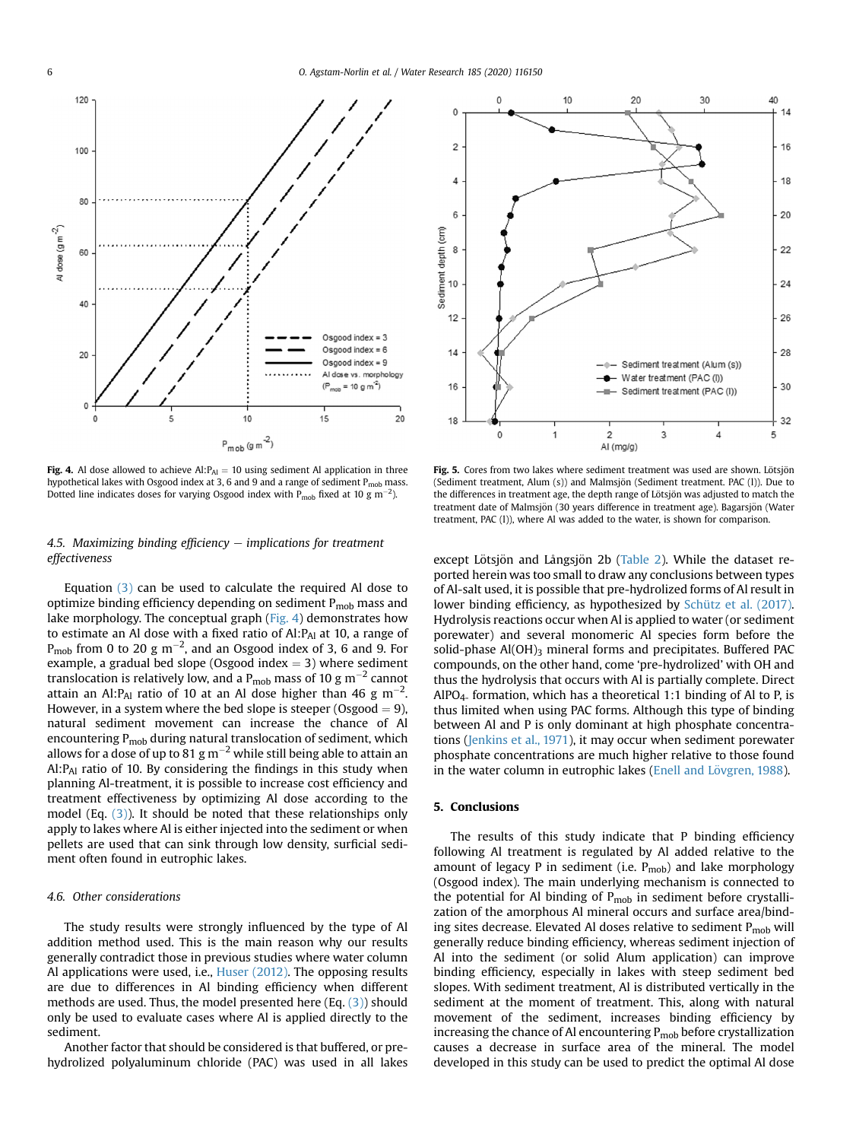<span id="page-5-0"></span>

Fig. 4. Al dose allowed to achieve  $AI: P_{AI} = 10$  using sediment Al application in three hypothetical lakes with Osgood index at 3, 6 and 9 and a range of sediment P<sub>mob</sub> mass. Dotted line indicates doses for varying Osgood index with  $P_{\text{mob}}$  fixed at 10 g m<sup>-2</sup>).

# 4.5. Maximizing binding efficiency  $-$  implications for treatment effectiveness

Equation [\(3\)](#page-3-3) can be used to calculate the required Al dose to optimize binding efficiency depending on sediment  $P_{\text{mob}}$  mass and lake morphology. The conceptual graph ([Fig. 4](#page-5-0)) demonstrates how to estimate an Al dose with a fixed ratio of  $AI: P_{AI}$  at 10, a range of  $P_{\rm{mob}}$  from 0 to 20 g m<sup>-2</sup>, and an Osgood index of 3, 6 and 9. For example, a gradual bed slope (Osgood index  $=$  3) where sediment translocation is relatively low, and a  $P_{\text{mob}}$  mass of 10 g m<sup>-2</sup> cannot attain an Al:P<sub>Al</sub> ratio of 10 at an Al dose higher than 46 g m<sup>-2</sup>. However, in a system where the bed slope is steeper (Osgood  $= 9$ ), natural sediment movement can increase the chance of Al encountering  $P_{\text{mob}}$  during natural translocation of sediment, which allows for a dose of up to 81 g  $\text{m}^{-2}$  while still being able to attain an Al:PAl ratio of 10. By considering the findings in this study when planning Al-treatment, it is possible to increase cost efficiency and treatment effectiveness by optimizing Al dose according to the model (Eq. [\(3\)\)](#page-3-3). It should be noted that these relationships only apply to lakes where Al is either injected into the sediment or when pellets are used that can sink through low density, surficial sediment often found in eutrophic lakes.

#### 4.6. Other considerations

The study results were strongly influenced by the type of Al addition method used. This is the main reason why our results generally contradict those in previous studies where water column Al applications were used, i.e., [Huser \(2012\)](#page-6-9). The opposing results are due to differences in Al binding efficiency when different methods are used. Thus, the model presented here (Eq. [\(3\)](#page-3-3)) should only be used to evaluate cases where Al is applied directly to the sediment.

Another factor that should be considered is that buffered, or prehydrolized polyaluminum chloride (PAC) was used in all lakes

<span id="page-5-1"></span>

Fig. 5. Cores from two lakes where sediment treatment was used are shown. Lötsjön (Sediment treatment, Alum (s)) and Malmsjön (Sediment treatment. PAC (l)). Due to the differences in treatment age, the depth range of Lötsjön was adjusted to match the treatment date of Malmsjön (30 years difference in treatment age). Bagarsjön (Water treatment, PAC (l)), where Al was added to the water, is shown for comparison.

except Lötsjön and Långsjön 2b ([Table 2](#page-2-1)). While the dataset reported herein was too small to draw any conclusions between types of Al-salt used, it is possible that pre-hydrolized forms of Al result in lower binding efficiency, as hypothesized by [Schütz et al. \(2017\).](#page-6-4) Hydrolysis reactions occur when Al is applied to water (or sediment porewater) and several monomeric Al species form before the solid-phase  $AI(OH)$ <sub>3</sub> mineral forms and precipitates. Buffered PAC compounds, on the other hand, come 'pre-hydrolized' with OH and thus the hydrolysis that occurs with Al is partially complete. Direct AlPO<sub>4</sub>- formation, which has a theoretical 1:1 binding of Al to P, is thus limited when using PAC forms. Although this type of binding between Al and P is only dominant at high phosphate concentrations ([Jenkins et al., 1971\)](#page-6-38), it may occur when sediment porewater phosphate concentrations are much higher relative to those found in the water column in eutrophic lakes (Enell and Lövgren, 1988).

# 5. Conclusions

The results of this study indicate that P binding efficiency following Al treatment is regulated by Al added relative to the amount of legacy  $P$  in sediment (i.e.  $P_{\text{mob}}$ ) and lake morphology (Osgood index). The main underlying mechanism is connected to the potential for Al binding of  $P_{\text{mob}}$  in sediment before crystallization of the amorphous Al mineral occurs and surface area/binding sites decrease. Elevated Al doses relative to sediment  $P_{\text{mob}}$  will generally reduce binding efficiency, whereas sediment injection of Al into the sediment (or solid Alum application) can improve binding efficiency, especially in lakes with steep sediment bed slopes. With sediment treatment, Al is distributed vertically in the sediment at the moment of treatment. This, along with natural movement of the sediment, increases binding efficiency by increasing the chance of Al encountering P<sub>mob</sub> before crystallization causes a decrease in surface area of the mineral. The model developed in this study can be used to predict the optimal Al dose